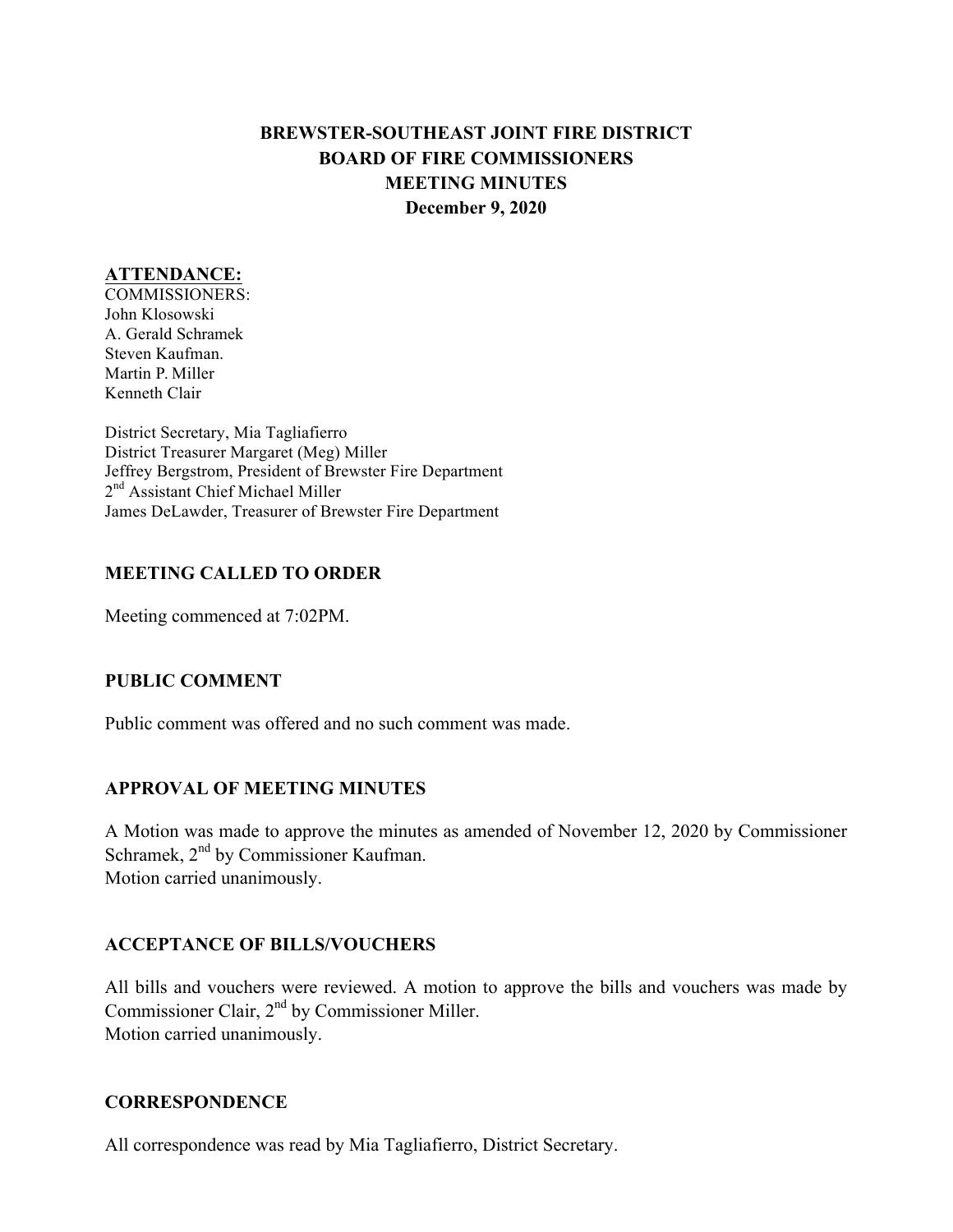# **BREWSTER-SOUTHEAST JOINT FIRE DISTRICT BOARD OF FIRE COMMISSIONERS MEETING MINUTES December 9, 2020**

#### **ATTENDANCE:**

COMMISSIONERS: John Klosowski A. Gerald Schramek Steven Kaufman. Martin P. Miller Kenneth Clair

District Secretary, Mia Tagliafierro District Treasurer Margaret (Meg) Miller Jeffrey Bergstrom, President of Brewster Fire Department 2<sup>nd</sup> Assistant Chief Michael Miller James DeLawder, Treasurer of Brewster Fire Department

### **MEETING CALLED TO ORDER**

Meeting commenced at 7:02PM.

### **PUBLIC COMMENT**

Public comment was offered and no such comment was made.

### **APPROVAL OF MEETING MINUTES**

A Motion was made to approve the minutes as amended of November 12, 2020 by Commissioner Schramek, 2<sup>nd</sup> by Commissioner Kaufman. Motion carried unanimously.

### **ACCEPTANCE OF BILLS/VOUCHERS**

All bills and vouchers were reviewed. A motion to approve the bills and vouchers was made by Commissioner Clair, 2nd by Commissioner Miller. Motion carried unanimously.

#### **CORRESPONDENCE**

All correspondence was read by Mia Tagliafierro, District Secretary.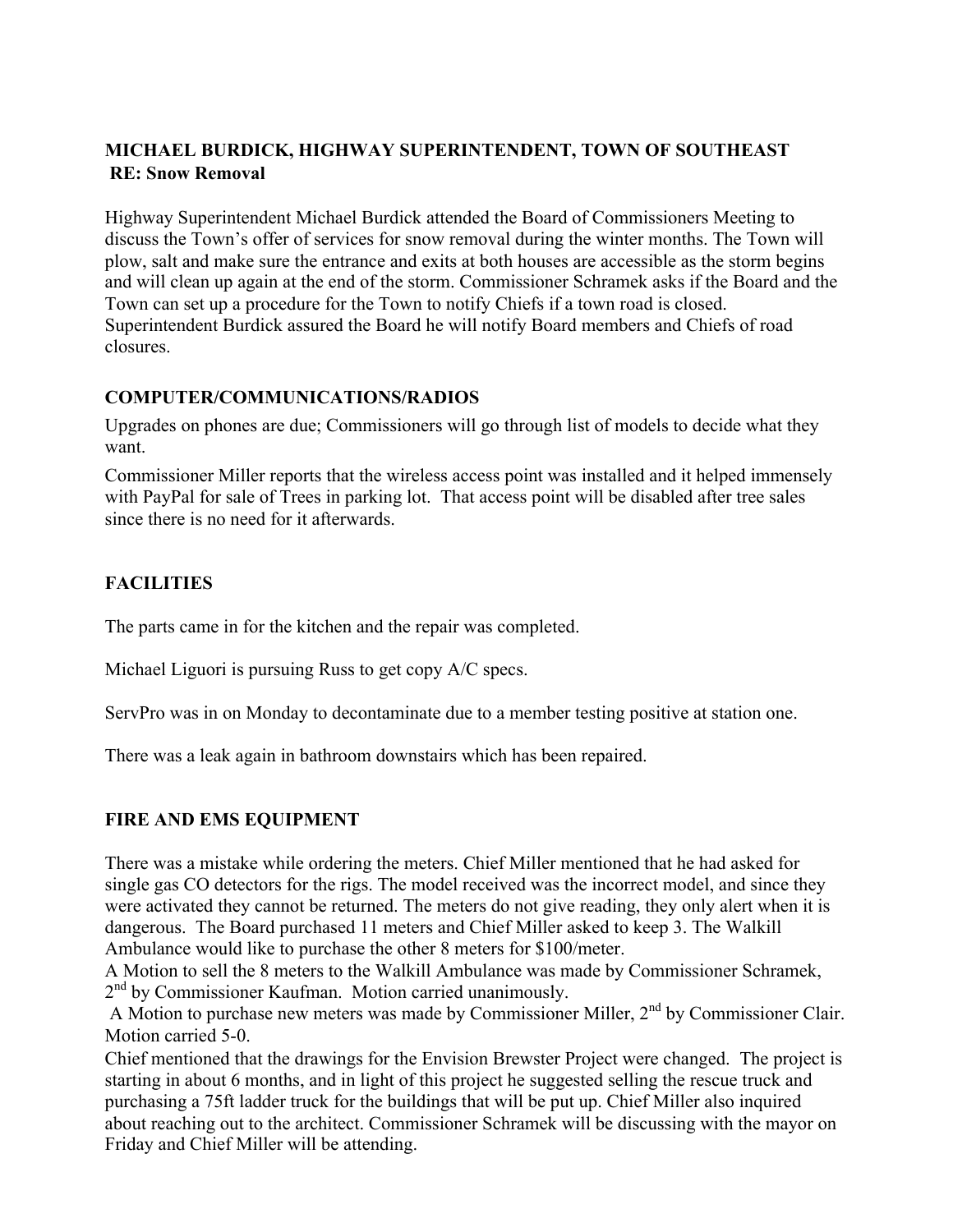## **MICHAEL BURDICK, HIGHWAY SUPERINTENDENT, TOWN OF SOUTHEAST RE: Snow Removal**

Highway Superintendent Michael Burdick attended the Board of Commissioners Meeting to discuss the Town's offer of services for snow removal during the winter months. The Town will plow, salt and make sure the entrance and exits at both houses are accessible as the storm begins and will clean up again at the end of the storm. Commissioner Schramek asks if the Board and the Town can set up a procedure for the Town to notify Chiefs if a town road is closed. Superintendent Burdick assured the Board he will notify Board members and Chiefs of road closures.

## **COMPUTER/COMMUNICATIONS/RADIOS**

Upgrades on phones are due; Commissioners will go through list of models to decide what they want.

Commissioner Miller reports that the wireless access point was installed and it helped immensely with PayPal for sale of Trees in parking lot. That access point will be disabled after tree sales since there is no need for it afterwards.

# **FACILITIES**

The parts came in for the kitchen and the repair was completed.

Michael Liguori is pursuing Russ to get copy A/C specs.

ServPro was in on Monday to decontaminate due to a member testing positive at station one.

There was a leak again in bathroom downstairs which has been repaired.

### **FIRE AND EMS EQUIPMENT**

There was a mistake while ordering the meters. Chief Miller mentioned that he had asked for single gas CO detectors for the rigs. The model received was the incorrect model, and since they were activated they cannot be returned. The meters do not give reading, they only alert when it is dangerous. The Board purchased 11 meters and Chief Miller asked to keep 3. The Walkill Ambulance would like to purchase the other 8 meters for \$100/meter.

A Motion to sell the 8 meters to the Walkill Ambulance was made by Commissioner Schramek, 2<sup>nd</sup> by Commissioner Kaufman. Motion carried unanimously.

A Motion to purchase new meters was made by Commissioner Miller, 2nd by Commissioner Clair. Motion carried 5-0.

Chief mentioned that the drawings for the Envision Brewster Project were changed. The project is starting in about 6 months, and in light of this project he suggested selling the rescue truck and purchasing a 75ft ladder truck for the buildings that will be put up. Chief Miller also inquired about reaching out to the architect. Commissioner Schramek will be discussing with the mayor on Friday and Chief Miller will be attending.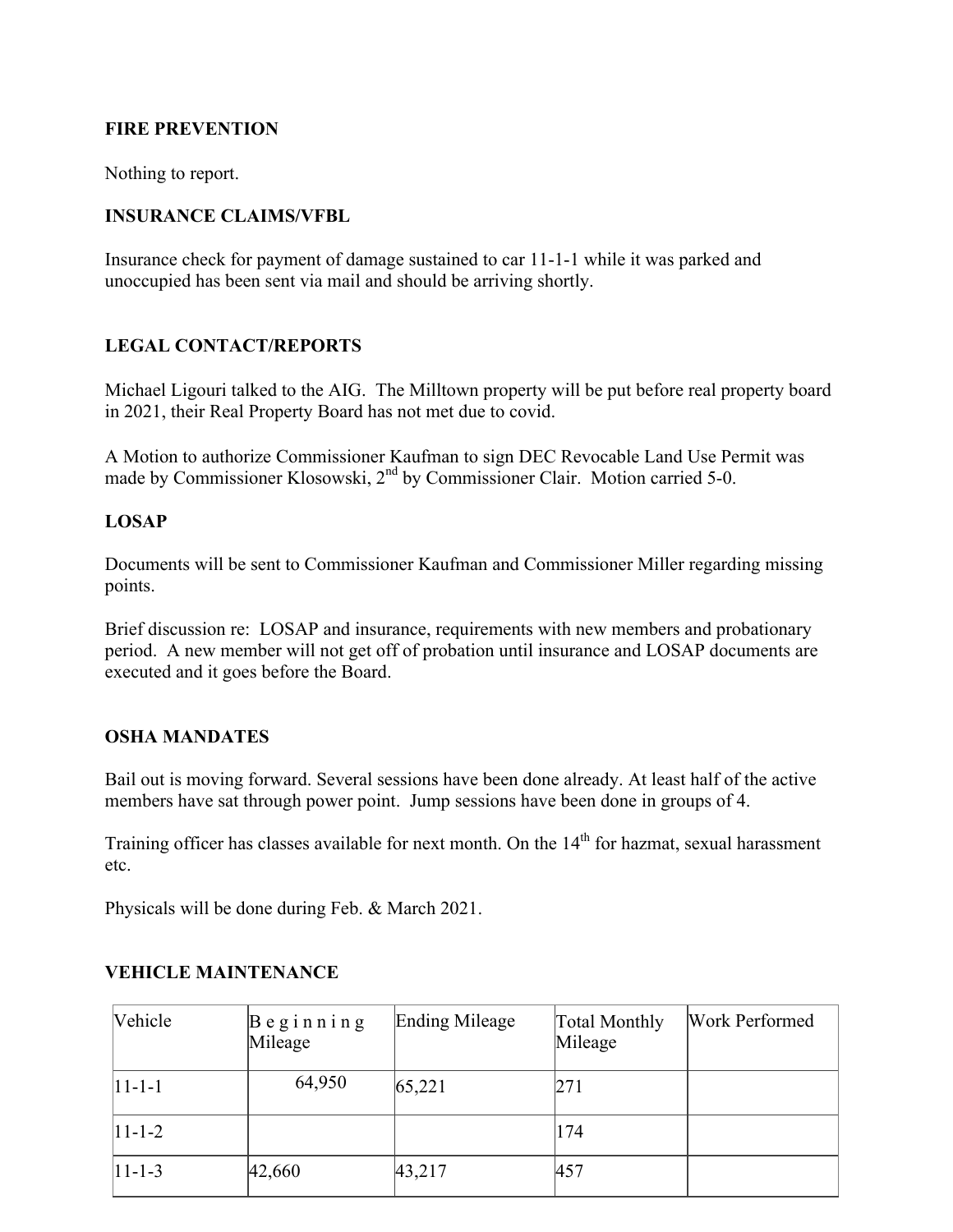### **FIRE PREVENTION**

Nothing to report.

#### **INSURANCE CLAIMS/VFBL**

Insurance check for payment of damage sustained to car 11-1-1 while it was parked and unoccupied has been sent via mail and should be arriving shortly.

#### **LEGAL CONTACT/REPORTS**

Michael Ligouri talked to the AIG. The Milltown property will be put before real property board in 2021, their Real Property Board has not met due to covid.

A Motion to authorize Commissioner Kaufman to sign DEC Revocable Land Use Permit was made by Commissioner Klosowski, 2<sup>nd</sup> by Commissioner Clair. Motion carried 5-0.

#### **LOSAP**

Documents will be sent to Commissioner Kaufman and Commissioner Miller regarding missing points.

Brief discussion re: LOSAP and insurance, requirements with new members and probationary period. A new member will not get off of probation until insurance and LOSAP documents are executed and it goes before the Board.

#### **OSHA MANDATES**

Bail out is moving forward. Several sessions have been done already. At least half of the active members have sat through power point. Jump sessions have been done in groups of 4.

Training officer has classes available for next month. On the  $14<sup>th</sup>$  for hazmat, sexual harassment etc.

Physicals will be done during Feb. & March 2021.

| Vehicle        | $\beta$ eginning<br>Mileage | Ending Mileage | Total Monthly<br>Mileage | Work Performed |
|----------------|-----------------------------|----------------|--------------------------|----------------|
| $ 11 - 1 - 1 $ | 64,950                      | 65,221         | 271                      |                |
| $11 - 1 - 2$   |                             |                | 174                      |                |
| $ 11 - 1 - 3 $ | 42,660                      | 43,217         | 457                      |                |

### **VEHICLE MAINTENANCE**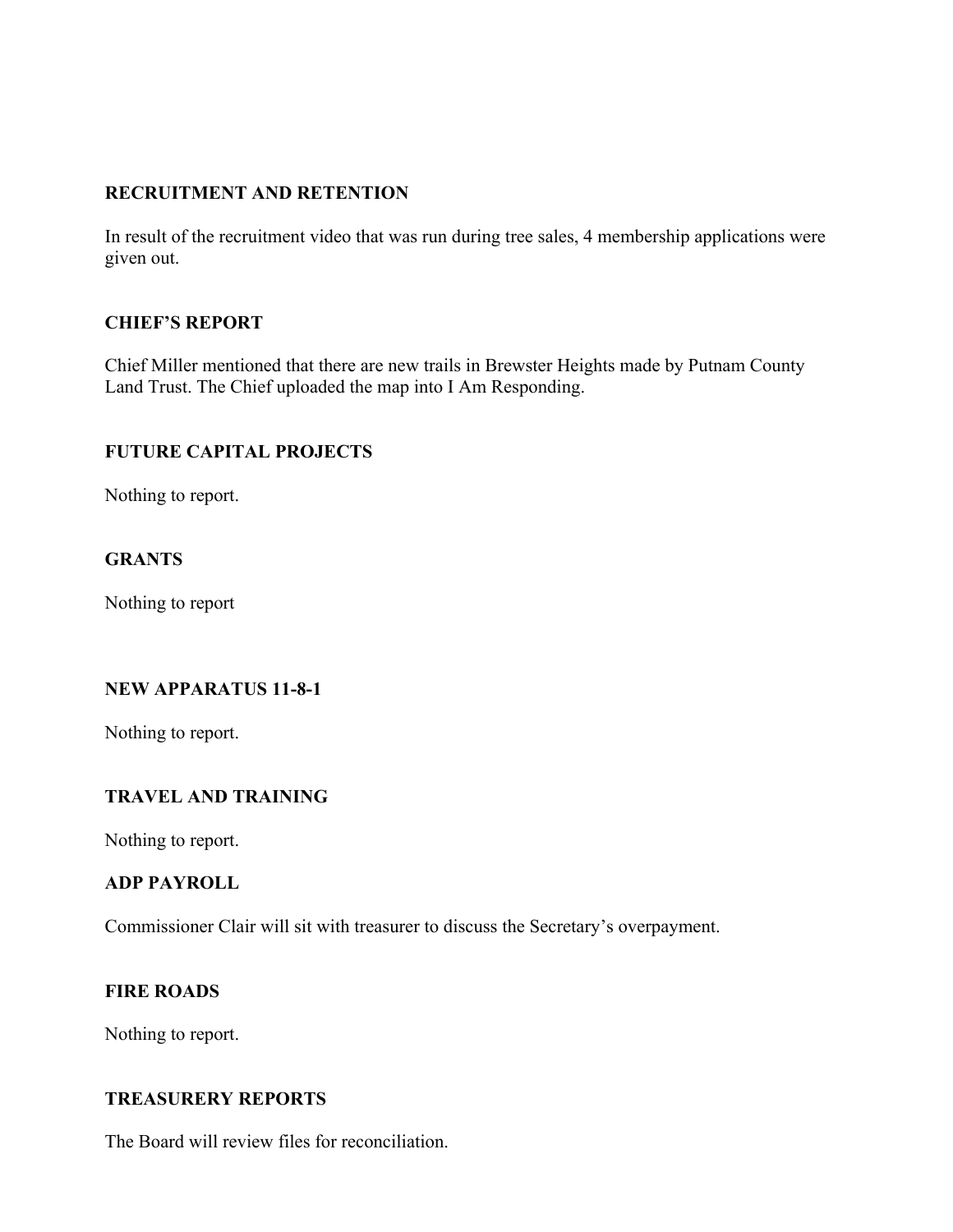## **RECRUITMENT AND RETENTION**

In result of the recruitment video that was run during tree sales, 4 membership applications were given out.

### **CHIEF'S REPORT**

Chief Miller mentioned that there are new trails in Brewster Heights made by Putnam County Land Trust. The Chief uploaded the map into I Am Responding.

### **FUTURE CAPITAL PROJECTS**

Nothing to report.

## **GRANTS**

Nothing to report

### **NEW APPARATUS 11-8-1**

Nothing to report.

### **TRAVEL AND TRAINING**

Nothing to report.

## **ADP PAYROLL**

Commissioner Clair will sit with treasurer to discuss the Secretary's overpayment.

#### **FIRE ROADS**

Nothing to report.

### **TREASURERY REPORTS**

The Board will review files for reconciliation.